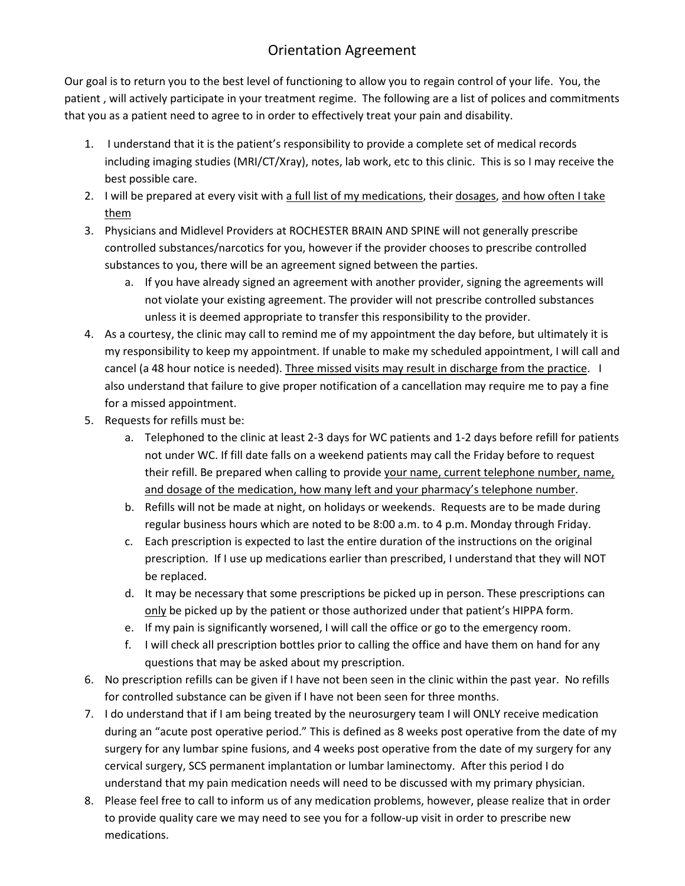## Orientation Agreement

Our goal is to return you to the best level of functioning to allow you to regain control of your life. You, the patient , will actively participate in your treatment regime. The following are a list of polices and commitments that you as a patient need to agree to in order to effectively treat your pain and disability.

- 1. I understand that it is the patient's responsibility to provide a complete set of medical records including imaging studies (MRI/CT/Xray), notes, lab work, etc to this clinic. This is so I may receive the best possible care.
- 2. I will be prepared at every visit with a full list of my medications, their dosages, and how often I take them
- 3. Physicians and Midlevel Providers at ROCHESTER BRAIN AND SPINE will not generally prescribe controlled substances/narcotics for you, however if the provider chooses to prescribe controlled substances to you, there will be an agreement signed between the parties.
	- a. If you have already signed an agreement with another provider, signing the agreements will not violate your existing agreement. The provider will not prescribe controlled substances unless it is deemed appropriate to transfer this responsibility to the provider.
- 4. As a courtesy, the clinic may call to remind me of my appointment the day before, but ultimately it is my responsibility to keep my appointment. If unable to make my scheduled appointment, I will call and cancel (a 48 hour notice is needed). Three missed visits may result in discharge from the practice. I also understand that failure to give proper notification of a cancellation may require me to pay a fine for a missed appointment.
- 5. Requests for refills must be:
	- a. Telephoned to the clinic at least 2-3 days for WC patients and 1-2 days before refill for patients not under WC. If fill date falls on a weekend patients may call the Friday before to request their refill. Be prepared when calling to provide your name, current telephone number, name, and dosage of the medication, how many left and your pharmacy's telephone number.
	- b. Refills will not be made at night, on holidays or weekends. Requests are to be made during regular business hours which are noted to be 8:00 a.m. to 4 p.m. Monday through Friday.
	- c. Each prescription is expected to last the entire duration of the instructions on the original prescription. If I use up medications earlier than prescribed, I understand that they will NOT be replaced.
	- d. It may be necessary that some prescriptions be picked up in person. These prescriptions can only be picked up by the patient or those authorized under that patient's HIPPA form.
	- e. If my pain is significantly worsened, I will call the office or go to the emergency room.
	- f. I will check all prescription bottles prior to calling the office and have them on hand for any questions that may be asked about my prescription.
- 6. No prescription refills can be given if I have not been seen in the clinic within the past year. No refills for controlled substance can be given if I have not been seen for three months.
- 7. I do understand that if I am being treated by the neurosurgery team I will ONLY receive medication during an "acute post operative period." This is defined as 8 weeks post operative from the date of my surgery for any lumbar spine fusions, and 4 weeks post operative from the date of my surgery for any cervical surgery, SCS permanent implantation or lumbar laminectomy. After this period I do understand that my pain medication needs will need to be discussed with my primary physician.
- 8. Please feel free to call to inform us of any medication problems, however, please realize that in order to provide quality care we may need to see you for a follow-up visit in order to prescribe new medications.